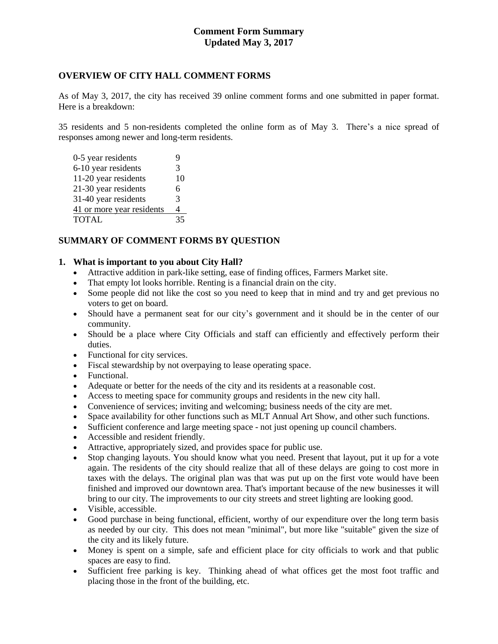# **Comment Form Summary Updated May 3, 2017**

### **OVERVIEW OF CITY HALL COMMENT FORMS**

As of May 3, 2017, the city has received 39 online comment forms and one submitted in paper format. Here is a breakdown:

35 residents and 5 non-residents completed the online form as of May 3. There's a nice spread of responses among newer and long-term residents.

| 0-5 year residents        | 9  |
|---------------------------|----|
| 6-10 year residents       | 3  |
| 11-20 year residents      | 10 |
| 21-30 year residents      | 6  |
| 31-40 year residents      | 3  |
| 41 or more year residents | 4  |
| <b>TOTAL</b>              | 35 |

# **SUMMARY OF COMMENT FORMS BY QUESTION**

#### **1. What is important to you about City Hall?**

- Attractive addition in park-like setting, ease of finding offices, Farmers Market site.
- That empty lot looks horrible. Renting is a financial drain on the city.
- Some people did not like the cost so you need to keep that in mind and try and get previous no voters to get on board.
- Should have a permanent seat for our city's government and it should be in the center of our community.
- Should be a place where City Officials and staff can efficiently and effectively perform their duties.
- Functional for city services.
- Fiscal stewardship by not overpaying to lease operating space.
- Functional.
- Adequate or better for the needs of the city and its residents at a reasonable cost.
- Access to meeting space for community groups and residents in the new city hall.
- Convenience of services; inviting and welcoming; business needs of the city are met.
- Space availability for other functions such as MLT Annual Art Show, and other such functions.
- Sufficient conference and large meeting space not just opening up council chambers.
- Accessible and resident friendly.
- Attractive, appropriately sized, and provides space for public use.
- Stop changing layouts. You should know what you need. Present that layout, put it up for a vote again. The residents of the city should realize that all of these delays are going to cost more in taxes with the delays. The original plan was that was put up on the first vote would have been finished and improved our downtown area. That's important because of the new businesses it will bring to our city. The improvements to our city streets and street lighting are looking good.
- Visible, accessible.
- Good purchase in being functional, efficient, worthy of our expenditure over the long term basis as needed by our city. This does not mean "minimal", but more like "suitable" given the size of the city and its likely future.
- Money is spent on a simple, safe and efficient place for city officials to work and that public spaces are easy to find.
- Sufficient free parking is key. Thinking ahead of what offices get the most foot traffic and placing those in the front of the building, etc.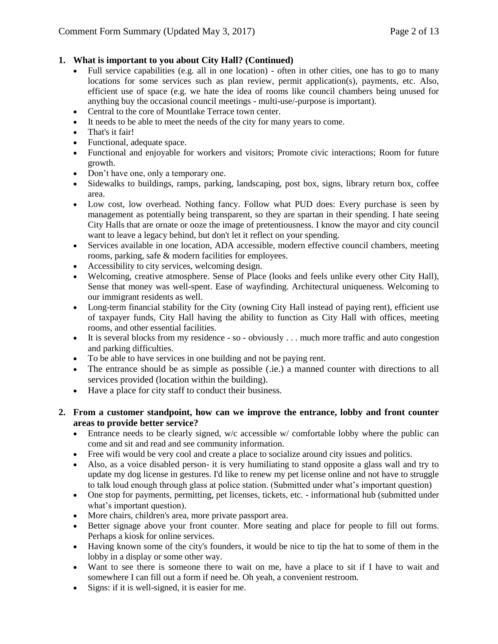# **1. What is important to you about City Hall? (Continued)**

- Full service capabilities (e.g. all in one location) often in other cities, one has to go to many locations for some services such as plan review, permit application(s), payments, etc. Also, efficient use of space (e.g. we hate the idea of rooms like council chambers being unused for anything buy the occasional council meetings - multi-use/-purpose is important).
- Central to the core of Mountlake Terrace town center.
- It needs to be able to meet the needs of the city for many years to come.
- That's it fair!
- Functional, adequate space.
- Functional and enjoyable for workers and visitors; Promote civic interactions; Room for future growth.
- Don't have one, only a temporary one.
- Sidewalks to buildings, ramps, parking, landscaping, post box, signs, library return box, coffee area.
- Low cost, low overhead. Nothing fancy. Follow what PUD does: Every purchase is seen by management as potentially being transparent, so they are spartan in their spending. I hate seeing City Halls that are ornate or ooze the image of pretentiousness. I know the mayor and city council want to leave a legacy behind, but don't let it reflect on your spending.
- Services available in one location, ADA accessible, modern effective council chambers, meeting rooms, parking, safe & modern facilities for employees.
- Accessibility to city services, welcoming design.
- Welcoming, creative atmosphere. Sense of Place (looks and feels unlike every other City Hall), Sense that money was well-spent. Ease of wayfinding. Architectural uniqueness. Welcoming to our immigrant residents as well.
- Long-term financial stability for the City (owning City Hall instead of paying rent), efficient use of taxpayer funds, City Hall having the ability to function as City Hall with offices, meeting rooms, and other essential facilities.
- $\bullet$  It is several blocks from my residence so obviously . . . much more traffic and auto congestion and parking difficulties.
- To be able to have services in one building and not be paying rent.
- The entrance should be as simple as possible (.ie.) a manned counter with directions to all services provided (location within the building).
- Have a place for city staff to conduct their business.
- **2. From a customer standpoint, how can we improve the entrance, lobby and front counter areas to provide better service?**
	- Entrance needs to be clearly signed, w/c accessible w/ comfortable lobby where the public can come and sit and read and see community information.
	- Free wifi would be very cool and create a place to socialize around city issues and politics.
	- Also, as a voice disabled person- it is very humiliating to stand opposite a glass wall and try to update my dog license in gestures. I'd like to renew my pet license online and not have to struggle to talk loud enough through glass at police station. (Submitted under what's important question)
	- One stop for payments, permitting, pet licenses, tickets, etc. informational hub (submitted under what's important question).
	- More chairs, children's area, more private passport area.
	- Better signage above your front counter. More seating and place for people to fill out forms. Perhaps a kiosk for online services.
	- Having known some of the city's founders, it would be nice to tip the hat to some of them in the lobby in a display or some other way.
	- Want to see there is someone there to wait on me, have a place to sit if I have to wait and somewhere I can fill out a form if need be. Oh yeah, a convenient restroom.
	- Signs: if it is well-signed, it is easier for me.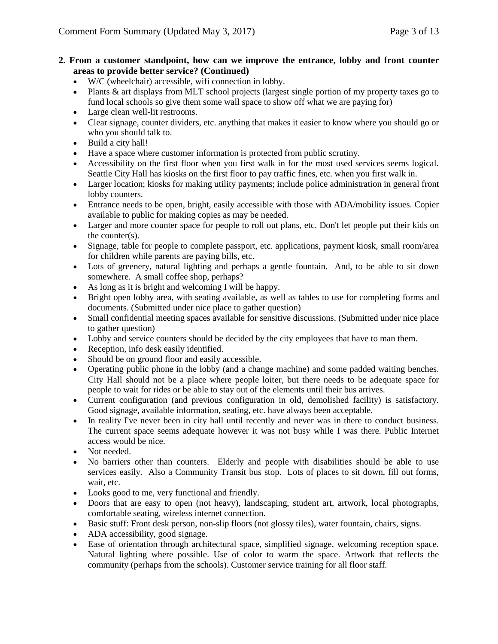### **2. From a customer standpoint, how can we improve the entrance, lobby and front counter areas to provide better service? (Continued)**

- W/C (wheelchair) accessible, wifi connection in lobby.
- Plants & art displays from MLT school projects (largest single portion of my property taxes go to fund local schools so give them some wall space to show off what we are paying for)
- Large clean well-lit restrooms.
- Clear signage, counter dividers, etc. anything that makes it easier to know where you should go or who you should talk to.
- Build a city hall!
- Have a space where customer information is protected from public scrutiny.
- Accessibility on the first floor when you first walk in for the most used services seems logical. Seattle City Hall has kiosks on the first floor to pay traffic fines, etc. when you first walk in.
- Larger location; kiosks for making utility payments; include police administration in general front lobby counters.
- Entrance needs to be open, bright, easily accessible with those with ADA/mobility issues. Copier available to public for making copies as may be needed.
- Larger and more counter space for people to roll out plans, etc. Don't let people put their kids on the counter(s).
- Signage, table for people to complete passport, etc. applications, payment kiosk, small room/area for children while parents are paying bills, etc.
- Lots of greenery, natural lighting and perhaps a gentle fountain. And, to be able to sit down somewhere. A small coffee shop, perhaps?
- As long as it is bright and welcoming I will be happy.
- Bright open lobby area, with seating available, as well as tables to use for completing forms and documents. (Submitted under nice place to gather question)
- Small confidential meeting spaces available for sensitive discussions. (Submitted under nice place to gather question)
- Lobby and service counters should be decided by the city employees that have to man them.
- Reception, info desk easily identified.
- Should be on ground floor and easily accessible.
- Operating public phone in the lobby (and a change machine) and some padded waiting benches. City Hall should not be a place where people loiter, but there needs to be adequate space for people to wait for rides or be able to stay out of the elements until their bus arrives.
- Current configuration (and previous configuration in old, demolished facility) is satisfactory. Good signage, available information, seating, etc. have always been acceptable.
- In reality I've never been in city hall until recently and never was in there to conduct business. The current space seems adequate however it was not busy while I was there. Public Internet access would be nice.
- Not needed.
- No barriers other than counters. Elderly and people with disabilities should be able to use services easily. Also a Community Transit bus stop. Lots of places to sit down, fill out forms, wait, etc.
- Looks good to me, very functional and friendly.
- Doors that are easy to open (not heavy), landscaping, student art, artwork, local photographs, comfortable seating, wireless internet connection.
- Basic stuff: Front desk person, non-slip floors (not glossy tiles), water fountain, chairs, signs.
- ADA accessibility, good signage.
- Ease of orientation through architectural space, simplified signage, welcoming reception space. Natural lighting where possible. Use of color to warm the space. Artwork that reflects the community (perhaps from the schools). Customer service training for all floor staff.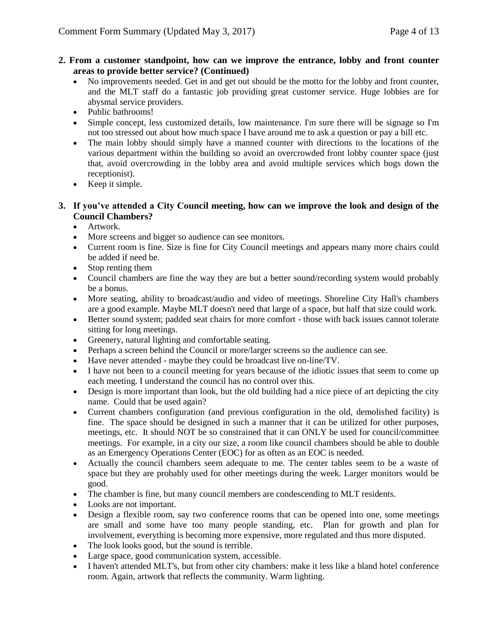#### **2. From a customer standpoint, how can we improve the entrance, lobby and front counter areas to provide better service? (Continued)**

- No improvements needed. Get in and get out should be the motto for the lobby and front counter, and the MLT staff do a fantastic job providing great customer service. Huge lobbies are for abysmal service providers.
- Public bathrooms!
- Simple concept, less customized details, low maintenance. I'm sure there will be signage so I'm not too stressed out about how much space I have around me to ask a question or pay a bill etc.
- The main lobby should simply have a manned counter with directions to the locations of the various department within the building so avoid an overcrowded front lobby counter space (just that, avoid overcrowding in the lobby area and avoid multiple services which bogs down the receptionist).
- Keep it simple.

# **3. If you've attended a City Council meeting, how can we improve the look and design of the Council Chambers?**

- Artwork.
- More screens and bigger so audience can see monitors.
- Current room is fine. Size is fine for City Council meetings and appears many more chairs could be added if need be.
- Stop renting them
- Council chambers are fine the way they are but a better sound/recording system would probably be a bonus.
- More seating, ability to broadcast/audio and video of meetings. Shoreline City Hall's chambers are a good example. Maybe MLT doesn't need that large of a space, but half that size could work.
- Better sound system; padded seat chairs for more comfort those with back issues cannot tolerate sitting for long meetings.
- Greenery, natural lighting and comfortable seating.
- Perhaps a screen behind the Council or more/larger screens so the audience can see.
- Have never attended maybe they could be broadcast live on-line/TV.
- I have not been to a council meeting for years because of the idiotic issues that seem to come up each meeting. I understand the council has no control over this.
- Design is more important than look, but the old building had a nice piece of art depicting the city name. Could that be used again?
- Current chambers configuration (and previous configuration in the old, demolished facility) is fine. The space should be designed in such a manner that it can be utilized for other purposes, meetings, etc. It should NOT be so constrained that it can ONLY be used for council/committee meetings. For example, in a city our size, a room like council chambers should be able to double as an Emergency Operations Center (EOC) for as often as an EOC is needed.
- Actually the council chambers seem adequate to me. The center tables seem to be a waste of space but they are probably used for other meetings during the week. Larger monitors would be good.
- The chamber is fine, but many council members are condescending to MLT residents.
- Looks are not important.
- Design a flexible room, say two conference rooms that can be opened into one, some meetings are small and some have too many people standing, etc. Plan for growth and plan for involvement, everything is becoming more expensive, more regulated and thus more disputed.
- The look looks good, but the sound is terrible.
- Large space, good communication system, accessible.
- I haven't attended MLT's, but from other city chambers: make it less like a bland hotel conference room. Again, artwork that reflects the community. Warm lighting.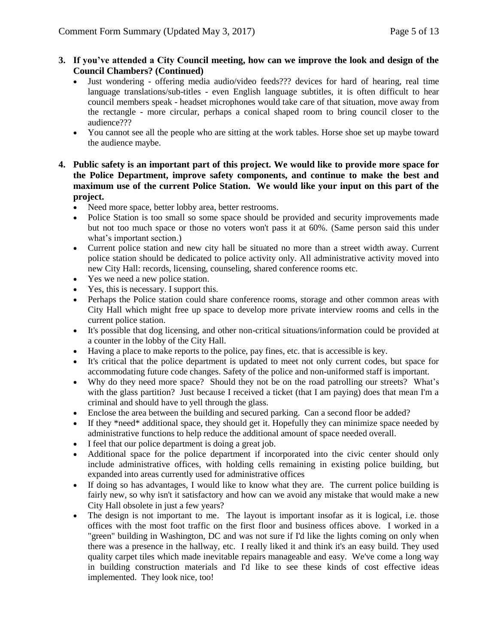### **3. If you've attended a City Council meeting, how can we improve the look and design of the Council Chambers? (Continued)**

- Just wondering offering media audio/video feeds??? devices for hard of hearing, real time language translations/sub-titles - even English language subtitles, it is often difficult to hear council members speak - headset microphones would take care of that situation, move away from the rectangle - more circular, perhaps a conical shaped room to bring council closer to the audience???
- You cannot see all the people who are sitting at the work tables. Horse shoe set up maybe toward the audience maybe.
- **4. Public safety is an important part of this project. We would like to provide more space for the Police Department, improve safety components, and continue to make the best and maximum use of the current Police Station. We would like your input on this part of the project.**
	- Need more space, better lobby area, better restrooms.
	- Police Station is too small so some space should be provided and security improvements made but not too much space or those no voters won't pass it at 60%. (Same person said this under what's important section.)
	- Current police station and new city hall be situated no more than a street width away. Current police station should be dedicated to police activity only. All administrative activity moved into new City Hall: records, licensing, counseling, shared conference rooms etc.
	- Yes we need a new police station.
	- Yes, this is necessary. I support this.
	- Perhaps the Police station could share conference rooms, storage and other common areas with City Hall which might free up space to develop more private interview rooms and cells in the current police station.
	- It's possible that dog licensing, and other non-critical situations/information could be provided at a counter in the lobby of the City Hall.
	- Having a place to make reports to the police, pay fines, etc. that is accessible is key.
	- It's critical that the police department is updated to meet not only current codes, but space for accommodating future code changes. Safety of the police and non-uniformed staff is important.
	- Why do they need more space? Should they not be on the road patrolling our streets? What's with the glass partition? Just because I received a ticket (that I am paying) does that mean I'm a criminal and should have to yell through the glass.
	- Enclose the area between the building and secured parking. Can a second floor be added?
	- If they \*need\* additional space, they should get it. Hopefully they can minimize space needed by administrative functions to help reduce the additional amount of space needed overall.
	- I feel that our police department is doing a great job.
	- Additional space for the police department if incorporated into the civic center should only include administrative offices, with holding cells remaining in existing police building, but expanded into areas currently used for administrative offices
	- If doing so has advantages, I would like to know what they are. The current police building is fairly new, so why isn't it satisfactory and how can we avoid any mistake that would make a new City Hall obsolete in just a few years?
	- The design is not important to me. The layout is important insofar as it is logical, i.e. those offices with the most foot traffic on the first floor and business offices above. I worked in a "green" building in Washington, DC and was not sure if I'd like the lights coming on only when there was a presence in the hallway, etc. I really liked it and think it's an easy build. They used quality carpet tiles which made inevitable repairs manageable and easy. We've come a long way in building construction materials and I'd like to see these kinds of cost effective ideas implemented. They look nice, too!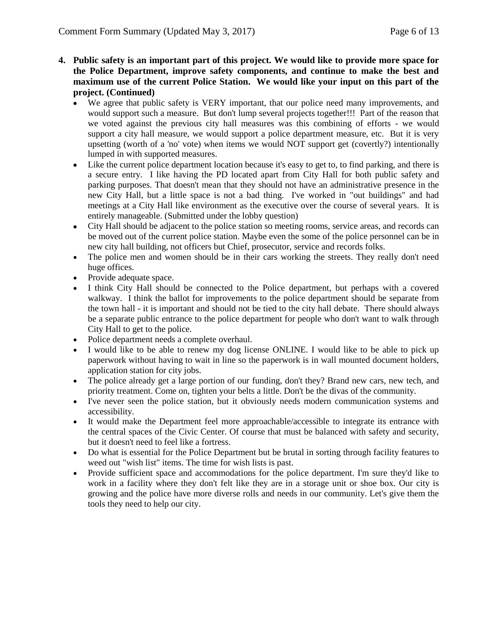- **4. Public safety is an important part of this project. We would like to provide more space for the Police Department, improve safety components, and continue to make the best and maximum use of the current Police Station. We would like your input on this part of the project. (Continued)**
	- We agree that public safety is VERY important, that our police need many improvements, and would support such a measure. But don't lump several projects together!!! Part of the reason that we voted against the previous city hall measures was this combining of efforts - we would support a city hall measure, we would support a police department measure, etc. But it is very upsetting (worth of a 'no' vote) when items we would NOT support get (covertly?) intentionally lumped in with supported measures.
	- Like the current police department location because it's easy to get to, to find parking, and there is a secure entry. I like having the PD located apart from City Hall for both public safety and parking purposes. That doesn't mean that they should not have an administrative presence in the new City Hall, but a little space is not a bad thing. I've worked in "out buildings" and had meetings at a City Hall like environment as the executive over the course of several years. It is entirely manageable. (Submitted under the lobby question)
	- City Hall should be adjacent to the police station so meeting rooms, service areas, and records can be moved out of the current police station. Maybe even the some of the police personnel can be in new city hall building, not officers but Chief, prosecutor, service and records folks.
	- The police men and women should be in their cars working the streets. They really don't need huge offices.
	- Provide adequate space.
	- I think City Hall should be connected to the Police department, but perhaps with a covered walkway. I think the ballot for improvements to the police department should be separate from the town hall - it is important and should not be tied to the city hall debate. There should always be a separate public entrance to the police department for people who don't want to walk through City Hall to get to the police.
	- Police department needs a complete overhaul.
	- I would like to be able to renew my dog license ONLINE. I would like to be able to pick up paperwork without having to wait in line so the paperwork is in wall mounted document holders, application station for city jobs.
	- The police already get a large portion of our funding, don't they? Brand new cars, new tech, and priority treatment. Come on, tighten your belts a little. Don't be the divas of the community.
	- I've never seen the police station, but it obviously needs modern communication systems and accessibility.
	- It would make the Department feel more approachable/accessible to integrate its entrance with the central spaces of the Civic Center. Of course that must be balanced with safety and security, but it doesn't need to feel like a fortress.
	- Do what is essential for the Police Department but be brutal in sorting through facility features to weed out "wish list" items. The time for wish lists is past.
	- Provide sufficient space and accommodations for the police department. I'm sure they'd like to work in a facility where they don't felt like they are in a storage unit or shoe box. Our city is growing and the police have more diverse rolls and needs in our community. Let's give them the tools they need to help our city.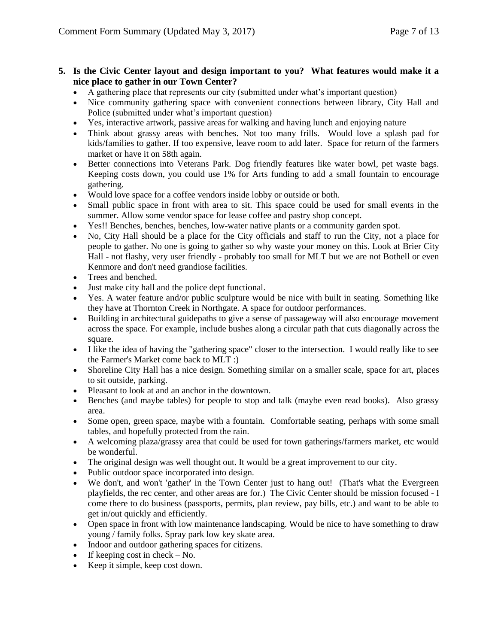### **5. Is the Civic Center layout and design important to you? What features would make it a nice place to gather in our Town Center?**

- A gathering place that represents our city (submitted under what's important question)
- Nice community gathering space with convenient connections between library, City Hall and Police (submitted under what's important question)
- Yes, interactive artwork, passive areas for walking and having lunch and enjoying nature
- Think about grassy areas with benches. Not too many frills. Would love a splash pad for kids/families to gather. If too expensive, leave room to add later. Space for return of the farmers market or have it on 58th again.
- Better connections into Veterans Park. Dog friendly features like water bowl, pet waste bags. Keeping costs down, you could use 1% for Arts funding to add a small fountain to encourage gathering.
- Would love space for a coffee vendors inside lobby or outside or both.
- Small public space in front with area to sit. This space could be used for small events in the summer. Allow some vendor space for lease coffee and pastry shop concept.
- Yes!! Benches, benches, benches, low-water native plants or a community garden spot.
- No, City Hall should be a place for the City officials and staff to run the City, not a place for people to gather. No one is going to gather so why waste your money on this. Look at Brier City Hall - not flashy, very user friendly - probably too small for MLT but we are not Bothell or even Kenmore and don't need grandiose facilities.
- Trees and benched.
- Just make city hall and the police dept functional.
- Yes. A water feature and/or public sculpture would be nice with built in seating. Something like they have at Thornton Creek in Northgate. A space for outdoor performances.
- Building in architectural guidepaths to give a sense of passageway will also encourage movement across the space. For example, include bushes along a circular path that cuts diagonally across the square.
- I like the idea of having the "gathering space" closer to the intersection. I would really like to see the Farmer's Market come back to MLT :)
- Shoreline City Hall has a nice design. Something similar on a smaller scale, space for art, places to sit outside, parking.
- Pleasant to look at and an anchor in the downtown.
- Benches (and maybe tables) for people to stop and talk (maybe even read books). Also grassy area.
- Some open, green space, maybe with a fountain. Comfortable seating, perhaps with some small tables, and hopefully protected from the rain.
- A welcoming plaza/grassy area that could be used for town gatherings/farmers market, etc would be wonderful.
- The original design was well thought out. It would be a great improvement to our city.
- Public outdoor space incorporated into design.
- We don't, and won't 'gather' in the Town Center just to hang out! (That's what the Evergreen playfields, the rec center, and other areas are for.) The Civic Center should be mission focused - I come there to do business (passports, permits, plan review, pay bills, etc.) and want to be able to get in/out quickly and efficiently.
- Open space in front with low maintenance landscaping. Would be nice to have something to draw young / family folks. Spray park low key skate area.
- Indoor and outdoor gathering spaces for citizens.
- $\bullet$  If keeping cost in check No.
- Keep it simple, keep cost down.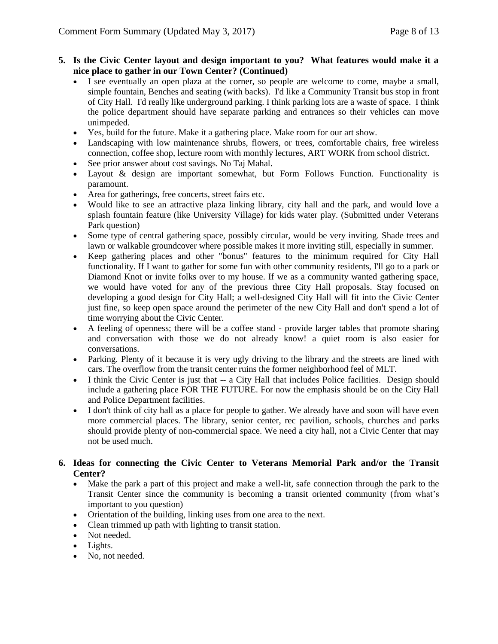#### **5. Is the Civic Center layout and design important to you? What features would make it a nice place to gather in our Town Center? (Continued)**

- I see eventually an open plaza at the corner, so people are welcome to come, maybe a small, simple fountain, Benches and seating (with backs). I'd like a Community Transit bus stop in front of City Hall. I'd really like underground parking. I think parking lots are a waste of space. I think the police department should have separate parking and entrances so their vehicles can move unimpeded.
- Yes, build for the future. Make it a gathering place. Make room for our art show.
- Landscaping with low maintenance shrubs, flowers, or trees, comfortable chairs, free wireless connection, coffee shop, lecture room with monthly lectures, ART WORK from school district.
- See prior answer about cost savings. No Taj Mahal.
- Layout & design are important somewhat, but Form Follows Function. Functionality is paramount.
- Area for gatherings, free concerts, street fairs etc.
- Would like to see an attractive plaza linking library, city hall and the park, and would love a splash fountain feature (like University Village) for kids water play. (Submitted under Veterans Park question)
- Some type of central gathering space, possibly circular, would be very inviting. Shade trees and lawn or walkable groundcover where possible makes it more inviting still, especially in summer.
- Keep gathering places and other "bonus" features to the minimum required for City Hall functionality. If I want to gather for some fun with other community residents, I'll go to a park or Diamond Knot or invite folks over to my house. If we as a community wanted gathering space, we would have voted for any of the previous three City Hall proposals. Stay focused on developing a good design for City Hall; a well-designed City Hall will fit into the Civic Center just fine, so keep open space around the perimeter of the new City Hall and don't spend a lot of time worrying about the Civic Center.
- A feeling of openness; there will be a coffee stand provide larger tables that promote sharing and conversation with those we do not already know! a quiet room is also easier for conversations.
- Parking. Plenty of it because it is very ugly driving to the library and the streets are lined with cars. The overflow from the transit center ruins the former neighborhood feel of MLT.
- I think the Civic Center is just that -- a City Hall that includes Police facilities. Design should include a gathering place FOR THE FUTURE. For now the emphasis should be on the City Hall and Police Department facilities.
- I don't think of city hall as a place for people to gather. We already have and soon will have even more commercial places. The library, senior center, rec pavilion, schools, churches and parks should provide plenty of non-commercial space. We need a city hall, not a Civic Center that may not be used much.

### **6. Ideas for connecting the Civic Center to Veterans Memorial Park and/or the Transit Center?**

- Make the park a part of this project and make a well-lit, safe connection through the park to the Transit Center since the community is becoming a transit oriented community (from what's important to you question)
- Orientation of the building, linking uses from one area to the next.
- Clean trimmed up path with lighting to transit station.
- Not needed.
- Lights.
- No, not needed.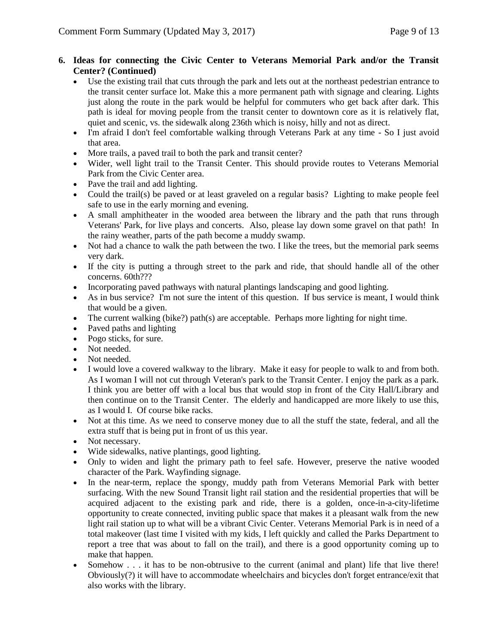## **6. Ideas for connecting the Civic Center to Veterans Memorial Park and/or the Transit Center? (Continued)**

- Use the existing trail that cuts through the park and lets out at the northeast pedestrian entrance to the transit center surface lot. Make this a more permanent path with signage and clearing. Lights just along the route in the park would be helpful for commuters who get back after dark. This path is ideal for moving people from the transit center to downtown core as it is relatively flat, quiet and scenic, vs. the sidewalk along 236th which is noisy, hilly and not as direct.
- I'm afraid I don't feel comfortable walking through Veterans Park at any time So I just avoid that area.
- More trails, a paved trail to both the park and transit center?
- Wider, well light trail to the Transit Center. This should provide routes to Veterans Memorial Park from the Civic Center area.
- Pave the trail and add lighting.
- Could the trail(s) be paved or at least graveled on a regular basis? Lighting to make people feel safe to use in the early morning and evening.
- A small amphitheater in the wooded area between the library and the path that runs through Veterans' Park, for live plays and concerts. Also, please lay down some gravel on that path! In the rainy weather, parts of the path become a muddy swamp.
- Not had a chance to walk the path between the two. I like the trees, but the memorial park seems very dark.
- If the city is putting a through street to the park and ride, that should handle all of the other concerns. 60th???
- Incorporating paved pathways with natural plantings landscaping and good lighting.
- As in bus service? I'm not sure the intent of this question. If bus service is meant, I would think that would be a given.
- The current walking (bike?) path(s) are acceptable. Perhaps more lighting for night time.
- Paved paths and lighting
- Pogo sticks, for sure.
- Not needed.
- Not needed.
- I would love a covered walkway to the library. Make it easy for people to walk to and from both. As I woman I will not cut through Veteran's park to the Transit Center. I enjoy the park as a park. I think you are better off with a local bus that would stop in front of the City Hall/Library and then continue on to the Transit Center. The elderly and handicapped are more likely to use this, as I would I. Of course bike racks.
- Not at this time. As we need to conserve money due to all the stuff the state, federal, and all the extra stuff that is being put in front of us this year.
- Not necessary.
- Wide sidewalks, native plantings, good lighting.
- Only to widen and light the primary path to feel safe. However, preserve the native wooded character of the Park. Wayfinding signage.
- In the near-term, replace the spongy, muddy path from Veterans Memorial Park with better surfacing. With the new Sound Transit light rail station and the residential properties that will be acquired adjacent to the existing park and ride, there is a golden, once-in-a-city-lifetime opportunity to create connected, inviting public space that makes it a pleasant walk from the new light rail station up to what will be a vibrant Civic Center. Veterans Memorial Park is in need of a total makeover (last time I visited with my kids, I left quickly and called the Parks Department to report a tree that was about to fall on the trail), and there is a good opportunity coming up to make that happen.
- Somehow . . . it has to be non-obtrusive to the current (animal and plant) life that live there! Obviously(?) it will have to accommodate wheelchairs and bicycles don't forget entrance/exit that also works with the library.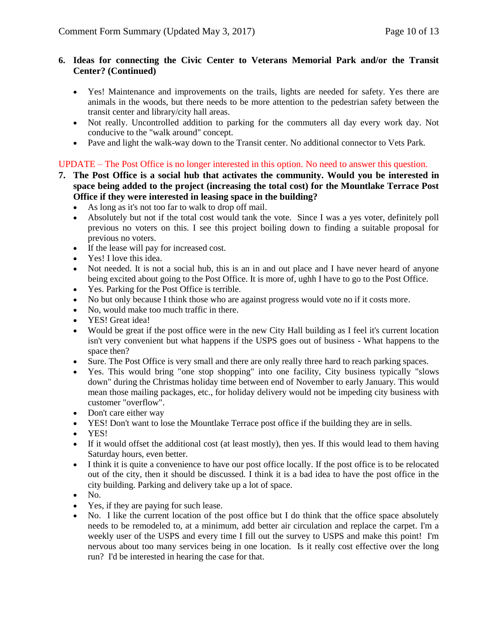### **6. Ideas for connecting the Civic Center to Veterans Memorial Park and/or the Transit Center? (Continued)**

- Yes! Maintenance and improvements on the trails, lights are needed for safety. Yes there are animals in the woods, but there needs to be more attention to the pedestrian safety between the transit center and library/city hall areas.
- Not really. Uncontrolled addition to parking for the commuters all day every work day. Not conducive to the "walk around" concept.
- Pave and light the walk-way down to the Transit center. No additional connector to Vets Park.

# UPDATE – The Post Office is no longer interested in this option. No need to answer this question.

- **7. The Post Office is a social hub that activates the community. Would you be interested in space being added to the project (increasing the total cost) for the Mountlake Terrace Post Office if they were interested in leasing space in the building?**
	- As long as it's not too far to walk to drop off mail.
	- Absolutely but not if the total cost would tank the vote. Since I was a yes voter, definitely poll previous no voters on this. I see this project boiling down to finding a suitable proposal for previous no voters.
	- If the lease will pay for increased cost.
	- Yes! I love this idea.
	- Not needed. It is not a social hub, this is an in and out place and I have never heard of anyone being excited about going to the Post Office. It is more of, ughh I have to go to the Post Office.
	- Yes. Parking for the Post Office is terrible.
	- No but only because I think those who are against progress would vote no if it costs more.
	- No, would make too much traffic in there.
	- YES! Great idea!
	- Would be great if the post office were in the new City Hall building as I feel it's current location isn't very convenient but what happens if the USPS goes out of business - What happens to the space then?
	- Sure. The Post Office is very small and there are only really three hard to reach parking spaces.
	- Yes. This would bring "one stop shopping" into one facility, City business typically "slows down" during the Christmas holiday time between end of November to early January. This would mean those mailing packages, etc., for holiday delivery would not be impeding city business with customer "overflow".
	- Don't care either way
	- YES! Don't want to lose the Mountlake Terrace post office if the building they are in sells.
	- YES!
	- If it would offset the additional cost (at least mostly), then yes. If this would lead to them having Saturday hours, even better.
	- I think it is quite a convenience to have our post office locally. If the post office is to be relocated out of the city, then it should be discussed. I think it is a bad idea to have the post office in the city building. Parking and delivery take up a lot of space.
	- $\bullet$  No.
	- Yes, if they are paying for such lease.
	- No. I like the current location of the post office but I do think that the office space absolutely needs to be remodeled to, at a minimum, add better air circulation and replace the carpet. I'm a weekly user of the USPS and every time I fill out the survey to USPS and make this point! I'm nervous about too many services being in one location. Is it really cost effective over the long run? I'd be interested in hearing the case for that.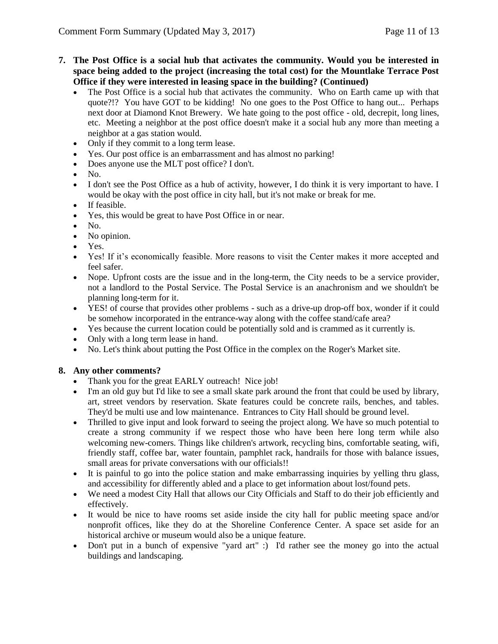- **7. The Post Office is a social hub that activates the community. Would you be interested in space being added to the project (increasing the total cost) for the Mountlake Terrace Post Office if they were interested in leasing space in the building? (Continued)**
	- The Post Office is a social hub that activates the community. Who on Earth came up with that quote?!? You have GOT to be kidding! No one goes to the Post Office to hang out... Perhaps next door at Diamond Knot Brewery. We hate going to the post office - old, decrepit, long lines, etc. Meeting a neighbor at the post office doesn't make it a social hub any more than meeting a neighbor at a gas station would.
	- Only if they commit to a long term lease.
	- Yes. Our post office is an embarrassment and has almost no parking!
	- Does anyone use the MLT post office? I don't.
	- $\bullet$  No.
	- I don't see the Post Office as a hub of activity, however, I do think it is very important to have. I would be okay with the post office in city hall, but it's not make or break for me.
	- If feasible.
	- Yes, this would be great to have Post Office in or near.
	- $\bullet$  No.
	- No opinion.
	- Yes.
	- Yes! If it's economically feasible. More reasons to visit the Center makes it more accepted and feel safer.
	- Nope. Upfront costs are the issue and in the long-term, the City needs to be a service provider, not a landlord to the Postal Service. The Postal Service is an anachronism and we shouldn't be planning long-term for it.
	- YES! of course that provides other problems such as a drive-up drop-off box, wonder if it could be somehow incorporated in the entrance-way along with the coffee stand/cafe area?
	- Yes because the current location could be potentially sold and is crammed as it currently is.
	- Only with a long term lease in hand.
	- No. Let's think about putting the Post Office in the complex on the Roger's Market site.

### **8. Any other comments?**

- Thank you for the great EARLY outreach! Nice job!
- I'm an old guy but I'd like to see a small skate park around the front that could be used by library, art, street vendors by reservation. Skate features could be concrete rails, benches, and tables. They'd be multi use and low maintenance. Entrances to City Hall should be ground level.
- Thrilled to give input and look forward to seeing the project along. We have so much potential to create a strong community if we respect those who have been here long term while also welcoming new-comers. Things like children's artwork, recycling bins, comfortable seating, wifi, friendly staff, coffee bar, water fountain, pamphlet rack, handrails for those with balance issues, small areas for private conversations with our officials!!
- It is painful to go into the police station and make embarrassing inquiries by yelling thru glass, and accessibility for differently abled and a place to get information about lost/found pets.
- We need a modest City Hall that allows our City Officials and Staff to do their job efficiently and effectively.
- It would be nice to have rooms set aside inside the city hall for public meeting space and/or nonprofit offices, like they do at the Shoreline Conference Center. A space set aside for an historical archive or museum would also be a unique feature.
- Don't put in a bunch of expensive "yard art" :) I'd rather see the money go into the actual buildings and landscaping.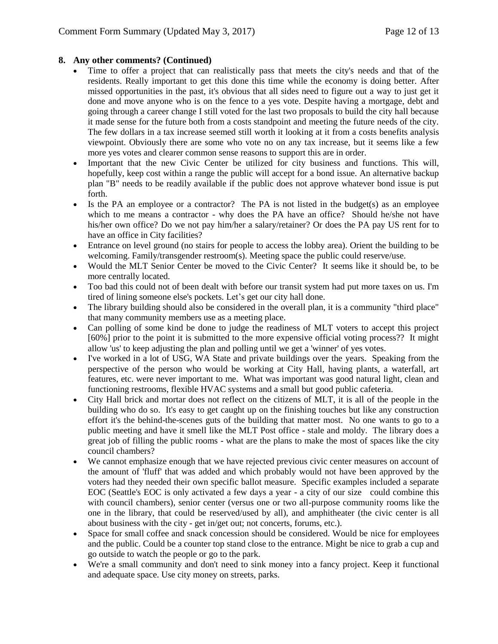# **8. Any other comments? (Continued)**

- Time to offer a project that can realistically pass that meets the city's needs and that of the residents. Really important to get this done this time while the economy is doing better. After missed opportunities in the past, it's obvious that all sides need to figure out a way to just get it done and move anyone who is on the fence to a yes vote. Despite having a mortgage, debt and going through a career change I still voted for the last two proposals to build the city hall because it made sense for the future both from a costs standpoint and meeting the future needs of the city. The few dollars in a tax increase seemed still worth it looking at it from a costs benefits analysis viewpoint. Obviously there are some who vote no on any tax increase, but it seems like a few more yes votes and clearer common sense reasons to support this are in order.
- Important that the new Civic Center be utilized for city business and functions. This will, hopefully, keep cost within a range the public will accept for a bond issue. An alternative backup plan "B" needs to be readily available if the public does not approve whatever bond issue is put forth.
- Is the PA an employee or a contractor? The PA is not listed in the budget(s) as an employee which to me means a contractor - why does the PA have an office? Should he/she not have his/her own office? Do we not pay him/her a salary/retainer? Or does the PA pay US rent for to have an office in City facilities?
- Entrance on level ground (no stairs for people to access the lobby area). Orient the building to be welcoming. Family/transgender restroom(s). Meeting space the public could reserve/use.
- Would the MLT Senior Center be moved to the Civic Center? It seems like it should be, to be more centrally located.
- Too bad this could not of been dealt with before our transit system had put more taxes on us. I'm tired of lining someone else's pockets. Let's get our city hall done.
- The library building should also be considered in the overall plan, it is a community "third place" that many community members use as a meeting place.
- Can polling of some kind be done to judge the readiness of MLT voters to accept this project [60%] prior to the point it is submitted to the more expensive official voting process?? It might allow 'us' to keep adjusting the plan and polling until we get a 'winner' of yes votes.
- I've worked in a lot of USG, WA State and private buildings over the years. Speaking from the perspective of the person who would be working at City Hall, having plants, a waterfall, art features, etc. were never important to me. What was important was good natural light, clean and functioning restrooms, flexible HVAC systems and a small but good public cafeteria.
- City Hall brick and mortar does not reflect on the citizens of MLT, it is all of the people in the building who do so. It's easy to get caught up on the finishing touches but like any construction effort it's the behind-the-scenes guts of the building that matter most. No one wants to go to a public meeting and have it smell like the MLT Post office - stale and moldy. The library does a great job of filling the public rooms - what are the plans to make the most of spaces like the city council chambers?
- We cannot emphasize enough that we have rejected previous civic center measures on account of the amount of 'fluff' that was added and which probably would not have been approved by the voters had they needed their own specific ballot measure. Specific examples included a separate EOC (Seattle's EOC is only activated a few days a year - a city of our size could combine this with council chambers), senior center (versus one or two all-purpose community rooms like the one in the library, that could be reserved/used by all), and amphitheater (the civic center is all about business with the city - get in/get out; not concerts, forums, etc.).
- Space for small coffee and snack concession should be considered. Would be nice for employees and the public. Could be a counter top stand close to the entrance. Might be nice to grab a cup and go outside to watch the people or go to the park.
- We're a small community and don't need to sink money into a fancy project. Keep it functional and adequate space. Use city money on streets, parks.